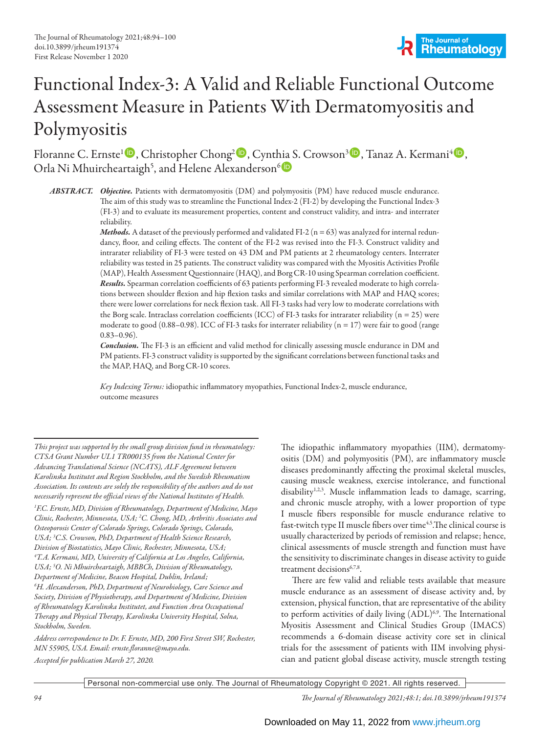# Functional Index-3: A Valid and Reliable Functional Outcome Assessment Measure in Patients With Dermatomyositis and Polymyositis

Floranne C. Ernste<sup>l (D</sup>, Christopher Chong<sup>2 (D</sup>, Cynthia S. Crowson<sup>3 (D</sup>, Tanaz A. Kermani<sup>4 (D</sup>, Orla Ni Mhuircheartaigh<sup>5</sup>, and Helene Alexanderson<sup>6</sup>

*ABSTRACT. Objective.* Patients with dermatomyositis (DM) and polymyositis (PM) have reduced muscle endurance. The aim of this study was to streamline the Functional Index-2 (FI-2) by developing the Functional Index-3 (FI-3) and to evaluate its measurement properties, content and construct validity, and intra- and interrater reliability.

*Methods.* A dataset of the previously performed and validated FI-2  $(n = 63)$  was analyzed for internal redundancy, floor, and ceiling effects. The content of the FI-2 was revised into the FI-3. Construct validity and intrarater reliability of FI-3 were tested on 43 DM and PM patients at 2 rheumatology centers. Interrater reliability was tested in 25 patients. The construct validity was compared with the Myositis Activities Profile (MAP), Health Assessment Questionnaire (HAQ), and Borg CR-10 using Spearman correlation coefficient. *Results.* Spearman correlation coefficients of 63 patients performing FI-3 revealed moderate to high correlations between shoulder flexion and hip flexion tasks and similar correlations with MAP and HAQ scores; there were lower correlations for neck flexion task. All FI-3 tasks had very low to moderate correlations with the Borg scale. Intraclass correlation coefficients (ICC) of FI-3 tasks for intrarater reliability ( $n = 25$ ) were moderate to good (0.88–0.98). ICC of FI-3 tasks for interrater reliability ( $n = 17$ ) were fair to good (range  $0.83 - 0.96$ .

*Conclusion.* The FI-3 is an efficient and valid method for clinically assessing muscle endurance in DM and PM patients. FI-3 construct validity is supported by the significant correlations between functional tasks and the MAP, HAQ, and Borg CR-10 scores.

*Key Indexing Terms:* idiopathic inflammatory myopathies, Functional Index-2, muscle endurance, outcome measures

*This project was supported by the small group division fund in rheumatology: CTSA Grant Number UL1 TR000135 from the National Center for Advancing Translational Science (NCATS), ALF Agreement between Karolinska Institutet and Region Stockholm, and the Swedish Rheumatism Association. Its contents are solely the responsibility of the authors and do not necessarily represent the official views of the National Institutes of Health.* 

*1 F.C. Ernste,MD, Division of Rheumatology, Department of Medicine, Mayo Clinic, Rochester, Minnesota, USA; 2 C. Chong, MD, Arthritis Associates and Osteoporosis Center of Colorado Springs, Colorado Springs, Colorado, USA; 3 C.S. Crowson, PhD, Department of Health Science Research, Division of Biostatistics, Mayo Clinic, Rochester, Minnesota, USA; 4 T.A. Kermani, MD, University of California at Los Angeles, California, USA; 5 O. Ni Mhuircheartaigh, MBBCh, Division of Rheumatology, Department of Medicine, Beacon Hospital, Dublin, Ireland; 6 H. Alexanderson, PhD, Department of Neurobiology, Care Science and* 

*Society, Division of Physiotherapy, and Department of Medicine, Division of Rheumatology Karolinska Institutet, and Function Area Occupational Therapy and Physical Therapy, Karolinska University Hospital, Solna, Stockholm, Sweden.*

*Address correspondence to Dr. F. Ernste, MD, 200 First Street SW, Rochester, MN 55905, USA. Email: ernste.floranne@mayo.edu. Accepted for publication March 27, 2020.*

The idiopathic inflammatory myopathies (IIM), dermatomyositis (DM) and polymyositis (PM), are inflammatory muscle diseases predominantly affecting the proximal skeletal muscles, causing muscle weakness, exercise intolerance, and functional disability<sup>1,2,3</sup>. Muscle inflammation leads to damage, scarring, and chronic muscle atrophy, with a lower proportion of type I muscle fibers responsible for muscle endurance relative to fast-twitch type II muscle fibers over time<sup>4,5</sup>. The clinical course is usually characterized by periods of remission and relapse; hence, clinical assessments of muscle strength and function must have the sensitivity to discriminate changes in disease activity to guide treatment decisions<sup>6,7,8</sup>.

There are few valid and reliable tests available that measure muscle endurance as an assessment of disease activity and, by extension, physical function, that are representative of the ability to perform activities of daily living (ADL)<sup>6,9</sup>. The International Myositis Assessment and Clinical Studies Group (IMACS) recommends a 6-domain disease activity core set in clinical trials for the assessment of patients with IIM involving physician and patient global disease activity, muscle strength testing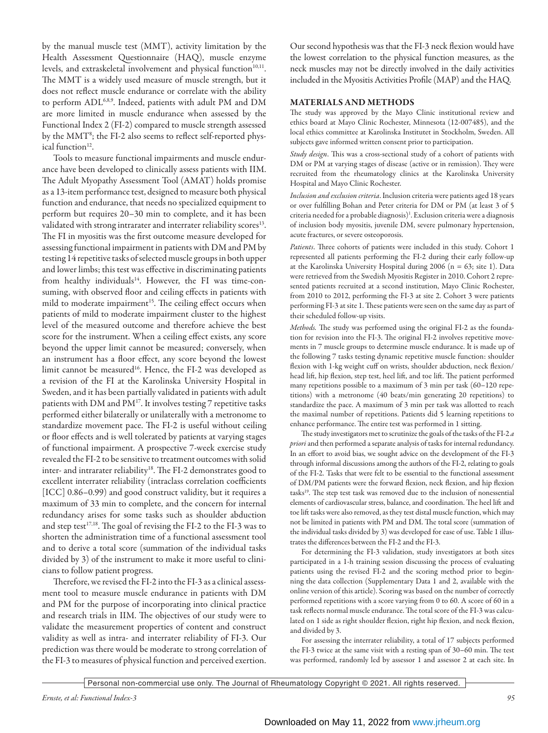by the manual muscle test (MMT), activity limitation by the Health Assessment Questionnaire (HAQ), muscle enzyme levels, and extraskeletal involvement and physical function<sup>10,11</sup>. The MMT is a widely used measure of muscle strength, but it does not reflect muscle endurance or correlate with the ability to perform ADL<sup>6,8,9</sup>. Indeed, patients with adult PM and DM are more limited in muscle endurance when assessed by the Functional Index 2 (FI-2) compared to muscle strength assessed by the MMT<sup>8</sup>; the FI-2 also seems to reflect self-reported physical function<sup>12</sup>.

Tools to measure functional impairments and muscle endurance have been developed to clinically assess patients with IIM. The Adult Myopathy Assessment Tool (AMAT) holds promise as a 13-item performance test, designed to measure both physical function and endurance, that needs no specialized equipment to perform but requires 20–30 min to complete, and it has been validated with strong intrarater and interrater reliability scores<sup>13</sup>. The FI in myositis was the first outcome measure developed for assessing functional impairment in patients with DM and PM by testing 14 repetitive tasks of selected muscle groups in both upper and lower limbs; this test was effective in discriminating patients from healthy individuals<sup>14</sup>. However, the FI was time-consuming, with observed floor and ceiling effects in patients with mild to moderate impairment<sup>15</sup>. The ceiling effect occurs when patients of mild to moderate impairment cluster to the highest level of the measured outcome and therefore achieve the best score for the instrument. When a ceiling effect exists, any score beyond the upper limit cannot be measured; conversely, when an instrument has a floor effect, any score beyond the lowest limit cannot be measured<sup>16</sup>. Hence, the FI-2 was developed as a revision of the FI at the Karolinska University Hospital in Sweden, and it has been partially validated in patients with adult patients with DM and PM17. It involves testing 7 repetitive tasks performed either bilaterally or unilaterally with a metronome to standardize movement pace. The FI-2 is useful without ceiling or floor effects and is well tolerated by patients at varying stages of functional impairment. A prospective 7-week exercise study revealed the FI-2 to be sensitive to treatment outcomes with solid inter- and intrarater reliability<sup>18</sup>. The FI-2 demonstrates good to excellent interrater reliability (intraclass correlation coefficients [ICC] 0.86–0.99) and good construct validity, but it requires a maximum of 33 min to complete, and the concern for internal redundancy arises for some tasks such as shoulder abduction and step test<sup>17,18</sup>. The goal of revising the FI-2 to the FI-3 was to shorten the administration time of a functional assessment tool and to derive a total score (summation of the individual tasks divided by 3) of the instrument to make it more useful to clinicians to follow patient progress.

Therefore, we revised the FI-2 into the FI-3 as a clinical assessment tool to measure muscle endurance in patients with DM and PM for the purpose of incorporating into clinical practice and research trials in IIM. The objectives of our study were to validate the measurement properties of content and construct validity as well as intra- and interrater reliability of FI-3. Our prediction was there would be moderate to strong correlation of the FI-3 to measures of physical function and perceived exertion.

Our second hypothesis was that the FI-3 neck flexion would have the lowest correlation to the physical function measures, as the neck muscles may not be directly involved in the daily activities included in the Myositis Activities Profile (MAP) and the HAQ.

## MATERIALS AND METHODS

The study was approved by the Mayo Clinic institutional review and ethics board at Mayo Clinic Rochester, Minnesota (12-007485), and the local ethics committee at Karolinska Institutet in Stockholm, Sweden. All subjects gave informed written consent prior to participation.

*Study design*. This was a cross-sectional study of a cohort of patients with DM or PM at varying stages of disease (active or in remission). They were recruited from the rheumatology clinics at the Karolinska University Hospital and Mayo Clinic Rochester.

*Inclusion and exclusion criteria*. Inclusion criteria were patients aged 18 years or over fulfilling Bohan and Peter criteria for DM or PM (at least 3 of 5 criteria needed for a probable diagnosis)1 . Exclusion criteria were a diagnosis of inclusion body myositis, juvenile DM, severe pulmonary hypertension, acute fractures, or severe osteoporosis.

*Patients*. Three cohorts of patients were included in this study. Cohort 1 represented all patients performing the FI-2 during their early follow-up at the Karolinska University Hospital during 2006 (n = 63; site 1). Data were retrieved from the Swedish Myositis Register in 2010. Cohort 2 represented patients recruited at a second institution, Mayo Clinic Rochester, from 2010 to 2012, performing the FI-3 at site 2. Cohort 3 were patients performing FI-3 at site 1. These patients were seen on the same day as part of their scheduled follow-up visits.

*Methods.* The study was performed using the original FI-2 as the foundation for revision into the FI-3. The original FI-2 involves repetitive movements in 7 muscle groups to determine muscle endurance. It is made up of the following 7 tasks testing dynamic repetitive muscle function: shoulder flexion with 1-kg weight cuff on wrists, shoulder abduction, neck flexion/ head lift, hip flexion, step test, heel lift, and toe lift. The patient performed many repetitions possible to a maximum of 3 min per task (60–120 repetitions) with a metronome (40 beats/min generating 20 repetitions) to standardize the pace. A maximum of 3 min per task was allotted to reach the maximal number of repetitions. Patients did 5 learning repetitions to enhance performance. The entire test was performed in 1 sitting.

The study investigators met to scrutinize the goals of the tasks of the FI-2 *a priori* and then performed a separate analysis of tasks for internal redundancy. In an effort to avoid bias, we sought advice on the development of the FI-3 through informal discussions among the authors of the FI-2, relating to goals of the FI-2. Tasks that were felt to be essential to the functional assessment of DM/PM patients were the forward flexion, neck flexion, and hip flexion tasks<sup>19</sup>. The step test task was removed due to the inclusion of nonessential elements of cardiovascular stress, balance, and coordination. The heel lift and toe lift tasks were also removed, as they test distal muscle function, which may not be limited in patients with PM and DM. The total score (summation of the individual tasks divided by 3) was developed for ease of use. Table 1 illustrates the differences between the FI-2 and the FI-3.

For determining the FI-3 validation, study investigators at both sites participated in a 1-h training session discussing the process of evaluating patients using the revised FI-2 and the scoring method prior to beginning the data collection (Supplementary Data 1 and 2, available with the online version of this article). Scoring was based on the number of correctly performed repetitions with a score varying from 0 to 60. A score of 60 in a task reflects normal muscle endurance. The total score of the FI-3 was calculated on 1 side as right shoulder flexion, right hip flexion, and neck flexion, and divided by 3.

For assessing the interrater reliability, a total of 17 subjects performed the FI-3 twice at the same visit with a resting span of 30–60 min. The test was performed, randomly led by assessor 1 and assessor 2 at each site. In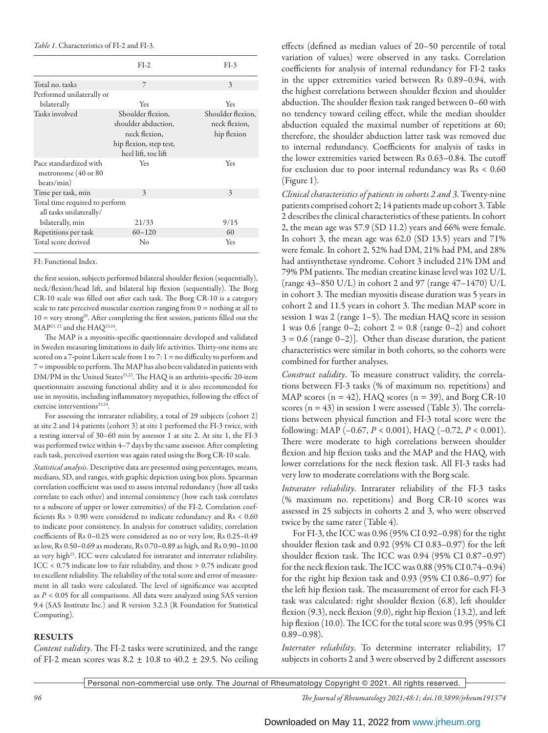### *Table 1*. Characteristics of FI-2 and FI-3.

|                                                             | $FI-2$                                                                                                      | $FI-3$                                            |
|-------------------------------------------------------------|-------------------------------------------------------------------------------------------------------------|---------------------------------------------------|
| Total no. tasks                                             | 7                                                                                                           | $\mathbf{3}$                                      |
| Performed unilaterally or                                   |                                                                                                             |                                                   |
| bilaterally                                                 | Yes                                                                                                         | Yes                                               |
| Tasks involved                                              | Shoulder flexion.<br>shoulder abduction,<br>neck flexion,<br>hip flexion, step test,<br>heel lift, toe lift | Shoulder flexion.<br>neck flexion,<br>hip flexion |
| Pace standardized with<br>metronome (40 or 80<br>beats/min) | Yes.                                                                                                        | Yes                                               |
| Time per task, min                                          | $\mathcal{E}$                                                                                               | $\overline{\mathcal{E}}$                          |
| Total time required to perform<br>all tasks unilaterally/   |                                                                                                             |                                                   |
| bilaterally, min                                            | 21/33                                                                                                       | 9/15                                              |
| Repetitions per task                                        | $60 - 120$                                                                                                  | 60                                                |
| Total score derived                                         | No                                                                                                          | Yes                                               |

#### FI: Functional Index.

the first session, subjects performed bilateral shoulder flexion (sequentially), neck/flexion/head lift, and bilateral hip flexion (sequentially). The Borg CR-10 scale was filled out after each task. The Borg CR-10 is a category scale to rate perceived muscular exertion ranging from  $0 =$  nothing at all to  $10 = \text{very strong}^{20}$ . After completing the first session, patients filled out the MAP21, 22 and the HAQ23,24.

The MAP is a myositis-specific questionnaire developed and validated in Sweden measuring limitations in daily life activities. Thirty-one items are scored on a 7-point Likert scale from 1 to 7: 1 = no difficulty to perform and 7=impossible to perform. The MAP has also been validated in patients with DM/PM in the United States<sup>21,22</sup>. The HAQ is an arthritis-specific 20-item questionnaire assessing functional ability and it is also recommended for use in myositis, including inflammatory myopathies, following the effect of exercise interventions<sup>23,24</sup>.

For assessing the intrarater reliability, a total of 29 subjects (cohort 2) at site 2 and 14 patients (cohort 3) at site 1 performed the FI-3 twice, with a resting interval of 30–60 min by assessor 1 at site 2. At site 1, the FI-3 was performed twice within 4–7 days by the same assessor. After completing each task, perceived exertion was again rated using the Borg CR-10 scale.

*Statistical analysis*. Descriptive data are presented using percentages, means, medians, SD, and ranges, with graphic depiction using box plots. Spearman correlation coefficient was used to assess internal redundancy (how all tasks correlate to each other) and internal consistency (how each task correlates to a subscore of upper or lower extremities) of the FI-2. Correlation coefficients Rs > 0.90 were considered to indicate redundancy and Rs < 0.60 to indicate poor consistency. In analysis for construct validity, correlation coefficients of Rs 0–0.25 were considered as no or very low, Rs 0.25–0.49 as low, Rs 0.50–0.69 as moderate, Rs 0.70–0.89 as high, and Rs 0.90–10.00 as very high<sup>25</sup>. ICC were calculated for intrarater and interrater reliability. ICC < 0.75 indicate low to fair reliability, and those > 0.75 indicate good to excellent reliability. The reliability of the total score and error of measurement in all tasks were calculated. The level of significance was accepted as *P* < 0.05 for all comparisons. All data were analyzed using SAS version 9.4 (SAS Institute Inc.) and R version 3.2.3 (R Foundation for Statistical Computing).

## RESULTS

*Content validity*. The FI-2 tasks were scrutinized, and the range of FI-2 mean scores was  $8.2 \pm 10.8$  to  $40.2 \pm 29.5$ . No ceiling effects (defined as median values of 20–50 percentile of total variation of values) were observed in any tasks. Correlation coefficients for analysis of internal redundancy for FI-2 tasks in the upper extremities varied between Rs 0.89–0.94, with the highest correlations between shoulder flexion and shoulder abduction. The shoulder flexion task ranged between 0–60 with no tendency toward ceiling effect, while the median shoulder abduction equaled the maximal number of repetitions at 60; therefore, the shoulder abduction latter task was removed due to internal redundancy. Coefficients for analysis of tasks in the lower extremities varied between Rs 0.63–0.84. The cutoff for exclusion due to poor internal redundancy was Rs < 0.60 (Figure 1).

*Clinical characteristics of patients in cohorts 2 and 3*. Twenty-nine patients comprised cohort 2; 14 patients made up cohort 3. Table 2 describes the clinical characteristics of these patients. In cohort 2, the mean age was 57.9 (SD 11.2) years and 66% were female. In cohort 3, the mean age was 62.0 (SD 13.5) years and 71% were female. In cohort 2, 52% had DM, 21% had PM, and 28% had antisynthetase syndrome. Cohort 3 included 21% DM and 79% PM patients. The median creatine kinase level was 102 U/L (range 43–850 U/L) in cohort 2 and 97 (range 47–1470) U/L in cohort 3. The median myositis disease duration was 5 years in cohort 2 and 11.5 years in cohort 3. The median MAP score in session 1 was 2 (range 1–5). The median HAQ score in session 1 was 0.6 [range 0–2; cohort  $2 = 0.8$  (range 0–2) and cohort  $3 = 0.6$  (range  $0-2$ ). Other than disease duration, the patient characteristics were similar in both cohorts, so the cohorts were combined for further analyses.

*Construct validity*. To measure construct validity, the correlations between FI-3 tasks (% of maximum no. repetitions) and MAP scores  $(n = 42)$ , HAQ scores  $(n = 39)$ , and Borg CR-10 scores  $(n = 43)$  in session 1 were assessed (Table 3). The correlations between physical function and FI-3 total score were the following: MAP (–0.67, *P* < 0.001), HAQ (–0.72, *P* < 0.001). There were moderate to high correlations between shoulder flexion and hip flexion tasks and the MAP and the HAQ, with lower correlations for the neck flexion task. All FI-3 tasks had very low to moderate correlations with the Borg scale.

*Intrarater reliability*. Intrarater reliability of the FI-3 tasks (% maximum no. repetitions) and Borg CR-10 scores was assessed in 25 subjects in cohorts 2 and 3, who were observed twice by the same rater (Table 4).

For FI-3, the ICC was 0.96 (95% CI 0.92–0.98) for the right shoulder flexion task and 0.92 (95% CI 0.83–0.97) for the left shoulder flexion task. The ICC was 0.94 (95% CI 0.87–0.97) for the neck flexion task. The ICC was 0.88 (95% CI 0.74–0.94) for the right hip flexion task and 0.93 (95% CI 0.86–0.97) for the left hip flexion task. The measurement of error for each FI-3 task was calculated: right shoulder flexion (6.8), left shoulder flexion (9.3), neck flexion (9.0), right hip flexion (13.2), and left hip flexion (10.0). The ICC for the total score was 0.95 (95% CI  $0.89 - 0.98$ ).

*Interrater reliability*. To determine interrater reliability, 17 subjects in cohorts 2 and 3 were observed by 2 different assessors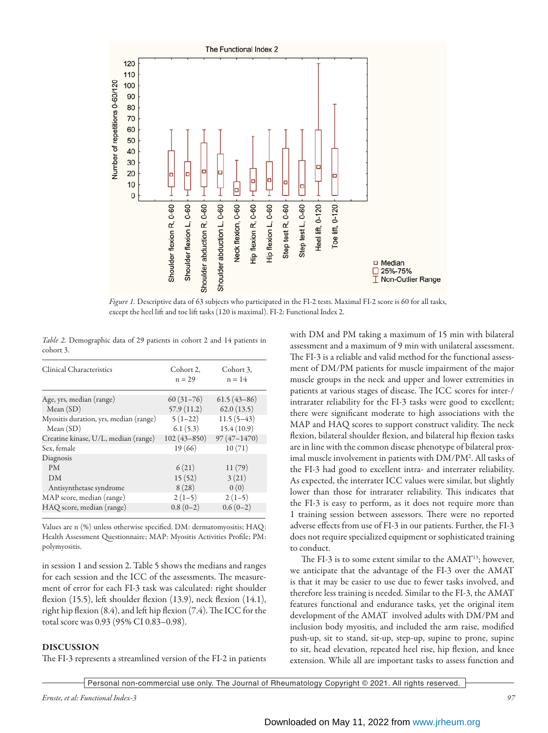

*Figure 1.* Descriptive data of 63 subjects who participated in the FI-2 tests. Maximal FI-2 score is 60 for all tasks, except the heel lift and toe lift tasks (120 is maximal). FI-2: Functional Index 2.

*Table 2.* Demographic data of 29 patients in cohort 2 and 14 patients in cohort 3.

| Clinical Characteristics               | Cohort 2.<br>$n = 29$ | Cohort 3.<br>$n = 14$ |
|----------------------------------------|-----------------------|-----------------------|
| Age, yrs, median (range)               | $60(31-76)$           | $61.5(43-86)$         |
| Mean(SD)                               | 57.9(11.2)            | 62.0(13.5)            |
| Myositis duration, yrs, median (range) | $5(1-22)$             | $11.5(5-43)$          |
| Mean(SD)                               | 6.1(5.3)              | 15.4(10.9)            |
| Creatine kinase, U/L, median (range)   | $102(43 - 850)$       | $97(47 - 1470)$       |
| Sex, female                            | 19(66)                | 10(71)                |
| Diagnosis                              |                       |                       |
| <b>PM</b>                              | 6(21)                 | 11(79)                |
| DM                                     | 15(52)                | 3(21)                 |
| Antisynthetase syndrome                | 8(28)                 | 0(0)                  |
| MAP score, median (range)              | $2(1-5)$              | $2(1-5)$              |
| HAQ score, median (range)              | $0.8(0-2)$            | $0.6(0-2)$            |
|                                        |                       |                       |

Values are n (%) unless otherwise specified. DM: dermatomyositis; HAQ: Health Assessment Questionnaire; MAP: Myositis Activities Profile; PM: polymyositis.

in session 1 and session 2. Table 5 shows the medians and ranges for each session and the ICC of the assessments. The measurement of error for each FI-3 task was calculated: right shoulder flexion (15.5), left shoulder flexion (13.9), neck flexion (14.1), right hip flexion (8.4), and left hip flexion (7.4). The ICC for the total score was 0.93 (95% CI 0.83–0.98).

## DISCUSSION

The FI-3 represents a streamlined version of the FI-2 in patients

with DM and PM taking a maximum of 15 min with bilateral assessment and a maximum of 9 min with unilateral assessment. The FI-3 is a reliable and valid method for the functional assessment of DM/PM patients for muscle impairment of the major muscle groups in the neck and upper and lower extremities in patients at various stages of disease. The ICC scores for inter-/ intrarater reliability for the FI-3 tasks were good to excellent; there were significant moderate to high associations with the MAP and HAQ scores to support construct validity. The neck flexion, bilateral shoulder flexion, and bilateral hip flexion tasks are in line with the common disease phenotype of bilateral proximal muscle involvement in patients with DM/PM2 . All tasks of the FI-3 had good to excellent intra- and interrater reliability. As expected, the interrater ICC values were similar, but slightly lower than those for intrarater reliability. This indicates that the FI-3 is easy to perform, as it does not require more than 1 training session between assessors. There were no reported adverse effects from use of FI-3 in our patients. Further, the FI-3 does not require specialized equipment or sophisticated training to conduct.

The FI-3 is to some extent similar to the AMAT<sup>13</sup>; however, we anticipate that the advantage of the FI-3 over the AMAT is that it may be easier to use due to fewer tasks involved, and therefore less training is needed. Similar to the FI-3, the AMAT features functional and endurance tasks, yet the original item development of the AMAT involved adults with DM/PM and inclusion body myositis, and included the arm raise, modified push-up, sit to stand, sit-up, step-up, supine to prone, supine to sit, head elevation, repeated heel rise, hip flexion, and knee extension. While all are important tasks to assess function and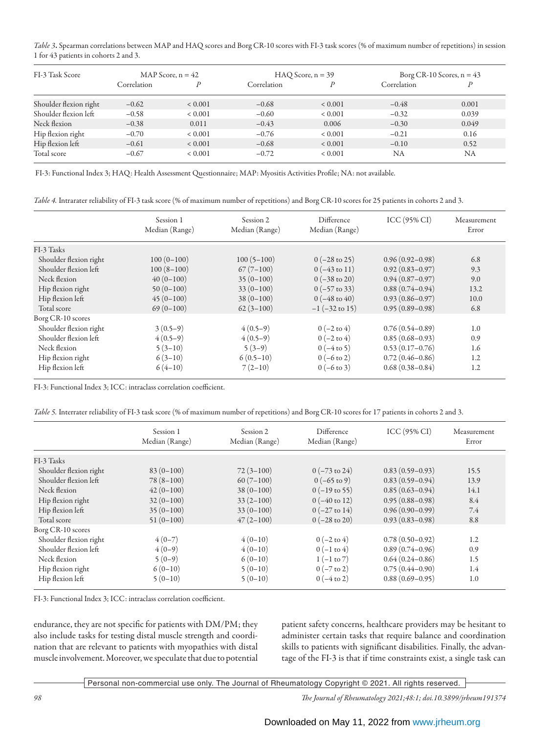*Table 3*. Spearman correlations between MAP and HAQ scores and Borg CR-10 scores with FI-3 task scores (% of maximum number of repetitions) in session 1 for 43 patients in cohorts 2 and 3.

| FI-3 Task Score        | MAP Score, $n = 42$ |             | $HAO Score, n = 39$ |             | Borg CR-10 Scores, $n = 43$ |       |
|------------------------|---------------------|-------------|---------------------|-------------|-----------------------------|-------|
|                        | Correlation         |             | Correlation         |             | Correlation                 | D     |
| Shoulder flexion right | $-0.62$             | ${}< 0.001$ | $-0.68$             | < 0.001     | $-0.48$                     | 0.001 |
| Shoulder flexion left  | $-0.58$             | ${}< 0.001$ | $-0.60$             | ${}< 0.001$ | $-0.32$                     | 0.039 |
| Neck flexion           | $-0.38$             | 0.011       | $-0.43$             | 0.006       | $-0.30$                     | 0.049 |
| Hip flexion right      | $-0.70$             | ${}< 0.001$ | $-0.76$             | ${}< 0.001$ | $-0.21$                     | 0.16  |
| Hip flexion left       | $-0.61$             | ${}< 0.001$ | $-0.68$             | ${}< 0.001$ | $-0.10$                     | 0.52  |
| Total score            | $-0.67$             | < 0.001     | $-0.72$             | < 0.001     | NA                          | NA    |

FI-3: Functional Index 3; HAQ: Health Assessment Questionnaire; MAP: Myositis Activities Profile; NA: not available.

*Table 4.* Intrarater reliability of FI-3 task score (% of maximum number of repetitions) and Borg CR-10 scores for 25 patients in cohorts 2 and 3.

|                        | Session 1<br>Median (Range) | Session 2<br>Median (Range) | Difference<br>Median (Range) | ICC(95% CI)         | Measurement<br>Error |
|------------------------|-----------------------------|-----------------------------|------------------------------|---------------------|----------------------|
|                        |                             |                             |                              |                     |                      |
| FI-3 Tasks             |                             |                             |                              |                     |                      |
| Shoulder flexion right | $100(0-100)$                | $100(5-100)$                | $0 (-28 \text{ to } 25)$     | $0.96(0.92 - 0.98)$ | 6.8                  |
| Shoulder flexion left  | $100(8-100)$                | $67(7-100)$                 | $0(-43 \text{ to } 11)$      | $0.92(0.83 - 0.97)$ | 9.3                  |
| Neck flexion           | $40(0-100)$                 | $35(0-100)$                 | $0 (-38 \text{ to } 20)$     | $0.94(0.87 - 0.97)$ | 9.0                  |
| Hip flexion right      | $50(0-100)$                 | $33(0-100)$                 | $0 (-57 \text{ to } 33)$     | $0.88(0.74 - 0.94)$ | 13.2                 |
| Hip flexion left       | $45(0-100)$                 | $38(0-100)$                 | $0 (-48 \text{ to } 40)$     | $0.93(0.86 - 0.97)$ | 10.0                 |
| Total score            | $69(0-100)$                 | $62(3-100)$                 | $-1$ ( $-32$ to 15)          | $0.95(0.89 - 0.98)$ | 6.8                  |
| Borg CR-10 scores      |                             |                             |                              |                     |                      |
| Shoulder flexion right | $3(0.5-9)$                  | $4(0.5-9)$                  | $0(-2 \text{ to } 4)$        | $0.76(0.54 - 0.89)$ | 1.0                  |
| Shoulder flexion left  | $4(0.5-9)$                  | $4(0.5-9)$                  | $0(-2 \text{ to } 4)$        | $0.85(0.68 - 0.93)$ | 0.9                  |
| Neck flexion           | $5(3-10)$                   | $5(3-9)$                    | $0(-4 \text{ to } 5)$        | $0.53(0.17-0.76)$   | 1.6                  |
| Hip flexion right      | $6(3-10)$                   | $6(0.5-10)$                 | $0 (-6 to 2)$                | $0.72(0.46 - 0.86)$ | 1.2                  |
| Hip flexion left       | $6(4-10)$                   | $7(2-10)$                   | $0 (-6 to 3)$                | $0.68(0.38 - 0.84)$ | 1.2                  |

FI-3: Functional Index 3; ICC: intraclass correlation coefficient.

*Table 5.* Interrater reliability of FI-3 task score (% of maximum number of repetitions) and Borg CR-10 scores for 17 patients in cohorts 2 and 3.

|                        | Session 1<br>Median (Range) | Session 2<br>Median (Range) | Difference<br>Median (Range) | ICC(95% CI)         | Measurement<br>Error |
|------------------------|-----------------------------|-----------------------------|------------------------------|---------------------|----------------------|
|                        |                             |                             |                              |                     |                      |
| FI-3 Tasks             |                             |                             |                              |                     |                      |
| Shoulder flexion right | $83(0-100)$                 | $72(3-100)$                 | $0 (-73 \text{ to } 24)$     | $0.83(0.59-0.93)$   | 15.5                 |
| Shoulder flexion left  | $78(8-100)$                 | $60(7-100)$                 | $0 (-65 \text{ to } 9)$      | $0.83(0.59 - 0.94)$ | 13.9                 |
| Neck flexion           | $42(0-100)$                 | $38(0-100)$                 | $0(-19 \text{ to } 55)$      | $0.85(0.63 - 0.94)$ | 14.1                 |
| Hip flexion right      | $32(0-100)$                 | $33(2-100)$                 | $0 (-40 \text{ to } 12)$     | $0.95(0.88 - 0.98)$ | 8.4                  |
| Hip flexion left       | $35(0-100)$                 | $33(0-100)$                 | $0 (-27 \text{ to } 14)$     | $0.96(0.90-0.99)$   | 7.4                  |
| Total score            | $51(0-100)$                 | $47(2 - 100)$               | $0 (-28 \text{ to } 20)$     | $0.93(0.83 - 0.98)$ | 8.8                  |
| Borg CR-10 scores      |                             |                             |                              |                     |                      |
| Shoulder flexion right | $4(0-7)$                    | $4(0-10)$                   | $0 (-2 to 4)$                | $0.78(0.50-0.92)$   | 1.2                  |
| Shoulder flexion left  | $4(0-9)$                    | $4(0-10)$                   | $0(-1 \text{ to } 4)$        | $0.89(0.74 - 0.96)$ | 0.9                  |
| Neck flexion           | $5(0-9)$                    | $6(0-10)$                   | $1(-1 \text{ to } 7)$        | $0.64(0.24 - 0.86)$ | 1.5                  |
| Hip flexion right      | $6(0-10)$                   | $5(0-10)$                   | $0 (-7 \text{ to } 2)$       | $0.75(0.44 - 0.90)$ | 1.4                  |
| Hip flexion left       | $5(0-10)$                   | $5(0-10)$                   | $0(-4 \text{ to } 2)$        | $0.88(0.69 - 0.95)$ | 1.0                  |

FI-3: Functional Index 3; ICC: intraclass correlation coefficient.

endurance, they are not specific for patients with DM/PM; they also include tasks for testing distal muscle strength and coordination that are relevant to patients with myopathies with distal muscle involvement. Moreover, we speculate that due to potential

patient safety concerns, healthcare providers may be hesitant to administer certain tasks that require balance and coordination skills to patients with significant disabilities. Finally, the advantage of the FI-3 is that if time constraints exist, a single task can

Personal non-commercial use only. The Journal of Rheumatology Copyright © 2021. All rights reserved.

*98 The Journal of Rheumatology 2021;48:1; doi.10.3899/jrheum191374*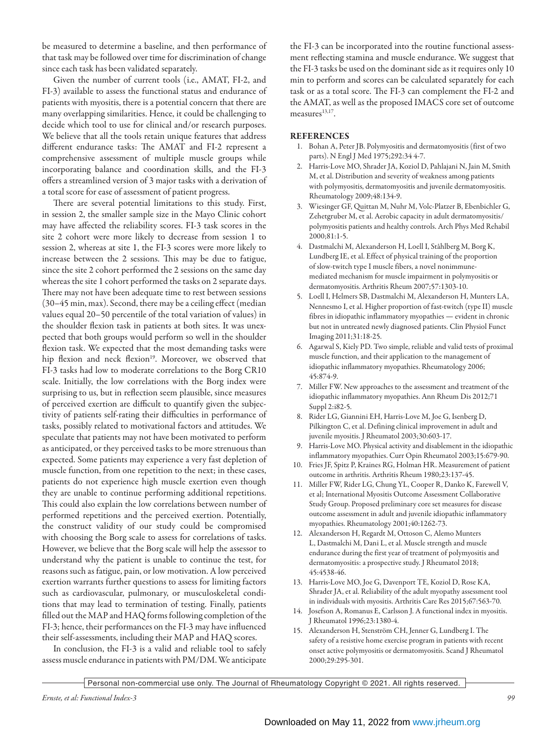be measured to determine a baseline, and then performance of that task may be followed over time for discrimination of change since each task has been validated separately.

Given the number of current tools (i.e., AMAT, FI-2, and FI-3) available to assess the functional status and endurance of patients with myositis, there is a potential concern that there are many overlapping similarities. Hence, it could be challenging to decide which tool to use for clinical and/or research purposes. We believe that all the tools retain unique features that address different endurance tasks: The AMAT and FI-2 represent a comprehensive assessment of multiple muscle groups while incorporating balance and coordination skills, and the FI-3 offers a streamlined version of 3 major tasks with a derivation of a total score for ease of assessment of patient progress.

There are several potential limitations to this study. First, in session 2, the smaller sample size in the Mayo Clinic cohort may have affected the reliability scores. FI-3 task scores in the site 2 cohort were more likely to decrease from session 1 to session 2, whereas at site 1, the FI-3 scores were more likely to increase between the 2 sessions. This may be due to fatigue, since the site 2 cohort performed the 2 sessions on the same day whereas the site 1 cohort performed the tasks on 2 separate days. There may not have been adequate time to rest between sessions (30–45 min, max). Second, there may be a ceiling effect (median values equal 20–50 percentile of the total variation of values) in the shoulder flexion task in patients at both sites. It was unexpected that both groups would perform so well in the shoulder flexion task. We expected that the most demanding tasks were hip flexion and neck flexion<sup>19</sup>. Moreover, we observed that FI-3 tasks had low to moderate correlations to the Borg CR10 scale. Initially, the low correlations with the Borg index were surprising to us, but in reflection seem plausible, since measures of perceived exertion are difficult to quantify given the subjectivity of patients self-rating their difficulties in performance of tasks, possibly related to motivational factors and attitudes. We speculate that patients may not have been motivated to perform as anticipated, or they perceived tasks to be more strenuous than expected. Some patients may experience a very fast depletion of muscle function, from one repetition to the next; in these cases, patients do not experience high muscle exertion even though they are unable to continue performing additional repetitions. This could also explain the low correlations between number of performed repetitions and the perceived exertion. Potentially, the construct validity of our study could be compromised with choosing the Borg scale to assess for correlations of tasks. However, we believe that the Borg scale will help the assessor to understand why the patient is unable to continue the test, for reasons such as fatigue, pain, or low motivation. A low perceived exertion warrants further questions to assess for limiting factors such as cardiovascular, pulmonary, or musculoskeletal conditions that may lead to termination of testing. Finally, patients filled out the MAP and HAQ forms following completion of the FI-3; hence, their performances on the FI-3 may have influenced their self-assessments, including their MAP and HAQ scores.

In conclusion, the FI-3 is a valid and reliable tool to safely assess muscle endurance in patients with PM/DM. We anticipate the FI-3 can be incorporated into the routine functional assessment reflecting stamina and muscle endurance. We suggest that the FI-3 tasks be used on the dominant side as it requires only 10 min to perform and scores can be calculated separately for each task or as a total score. The FI-3 can complement the FI-2 and the AMAT, as well as the proposed IMACS core set of outcome measures<sup>13,17</sup>.

## REFERENCES

- 1. Bohan A, Peter JB. Polymyositis and dermatomyositis (first of two parts). N Engl J Med 1975;292:34 4-7.
- 2. Harris-Love MO, Shrader JA, Koziol D, Pahlajani N, Jain M, Smith M, et al. Distribution and severity of weakness among patients with polymyositis, dermatomyositis and juvenile dermatomyositis. Rheumatology 2009;48:134-9.
- 3. Wiesinger GF, Quittan M, Nuhr M, Volc-Platzer B, Ebenbichler G, Zehetgruber M, et al. Aerobic capacity in adult dermatomyositis/ polymyositis patients and healthy controls. Arch Phys Med Rehabil 2000;81:1-5.
- 4. Dastmalchi M, Alexanderson H, Loell I, Ståhlberg M, Borg K, Lundberg IE, et al. Effect of physical training of the proportion of slow-twitch type I muscle fibers, a novel nonimmunemediated mechanism for muscle impairment in polymyositis or dermatomyositis. Arthritis Rheum 2007;57:1303-10.
- 5. Loell I, Helmers SB, Dastmalchi M, Alexanderson H, Munters LA, Nennesmo I, et al. Higher proportion of fast-twitch (type II) muscle fibres in idiopathic inflammatory myopathies — evident in chronic but not in untreated newly diagnosed patients. Clin Physiol Funct Imaging 2011;31:18-25.
- 6. Agarwal S, Kiely PD. Two simple, reliable and valid tests of proximal muscle function, and their application to the management of idiopathic inflammatory myopathies. Rheumatology 2006; 45:874-9.
- 7. Miller FW. New approaches to the assessment and treatment of the idiopathic inflammatory myopathies. Ann Rheum Dis 2012;71 Suppl 2:i82-5.
- 8. Rider LG, Giannini EH, Harris-Love M, Joe G, Isenberg D, Pilkington C, et al. Defining clinical improvement in adult and juvenile myositis. J Rheumatol 2003;30:603-17.
- 9. Harris-Love MO. Physical activity and disablement in the idiopathic inflammatory myopathies. Curr Opin Rheumatol 2003;15:679-90.
- 10. Fries JF, Spitz P, Kraines RG, Holman HR. Measurement of patient outcome in arthritis. Arthritis Rheum 1980;23:137-45.
- 11. Miller FW, Rider LG, Chung YL, Cooper R, Danko K, Farewell V, et al; International Myositis Outcome Assessment Collaborative Study Group. Proposed preliminary core set measures for disease outcome assessment in adult and juvenile idiopathic inflammatory myopathies. Rheumatology 2001;40:1262-73.
- 12. Alexanderson H, Regardt M, Ottoson C, Alemo Munters L, Dastmalchi M, Dani L, et al. Muscle strength and muscle endurance during the first year of treatment of polymyositis and dermatomyositis: a prospective study. J Rheumatol 2018; 45:4538-46.
- 13. Harris-Love MO, Joe G, Davenport TE, Koziol D, Rose KA, Shrader JA, et al. Reliability of the adult myopathy assessment tool in individuals with myositis. Arthritis Care Res 2015;67:563-70.
- 14. Josefson A, Romanus E, Carlsson J. A functional index in myositis. J Rheumatol 1996;23:1380-4.
- 15. Alexanderson H, Stenström CH, Jenner G, Lundberg I. The safety of a resistive home exercise program in patients with recent onset active polymyositis or dermatomyositis. Scand J Rheumatol 2000;29:295-301.